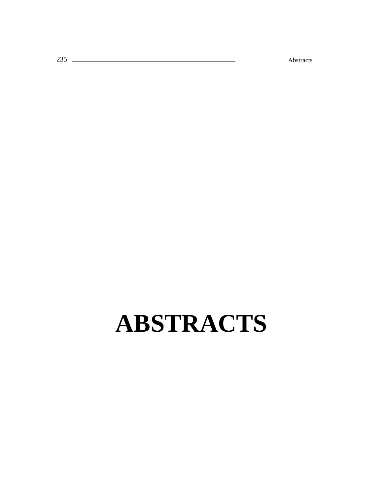t: Abstracts

# **ABSTRACTS**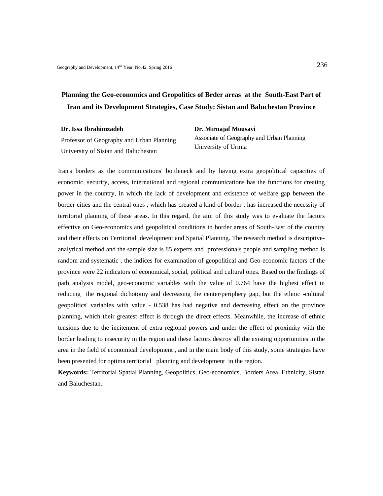## **Planning the Geo-economics and Geopolitics of Brder areas at the South-East Part of Iran and its Development Strategies, Case Study: Sistan and Baluchestan Province**

**Dr. Issa Ibrahimzadeh** 

**Dr. Mirnajaf Mousavi** 

Professor of Geography and Urban Planning University of Sistan and Baluchestan

Associate of Geography and Urban Planning University of Urmia

Iran's borders as the communications' bottleneck and by having extra geopolitical capacities of economic, security, access, international and regional communications has the functions for creating power in the country, in which the lack of development and existence of welfare gap between the border cities and the central ones , which has created a kind of border , has increased the necessity of territorial planning of these areas. In this regard, the aim of this study was to evaluate the factors effective on Geo-economics and geopolitical conditions in border areas of South-East of the country and their effects on Territorial development and Spatial Planning. The research method is descriptiveanalytical method and the sample size is 85 experts and professionals people and sampling method is random and systematic , the indices for examination of geopolitical and Geo-economic factors of the province were 22 indicators of economical, social, political and cultural ones. Based on the findings of path analysis model, geo-economic variables with the value of 0.764 have the highest effect in reducing the regional dichotomy and decreasing the center/periphery gap, but the ethnic -cultural geopolitics' variables with value - 0.538 has had negative and decreasing effect on the province planning, which their greatest effect is through the direct effects. Meanwhile, the increase of ethnic tensions due to the incitement of extra regional powers and under the effect of proximity with the border leading to insecurity in the region and these factors destroy all the existing opportunities in the area in the field of economical development , and in the main body of this study, some strategies have been presented for optima territorial planning and development in the region.

**Keywords:** Territorial Spatial Planning, Geopolitics, Geo-economics, Borders Area, Ethnicity, Sistan and Baluchestan.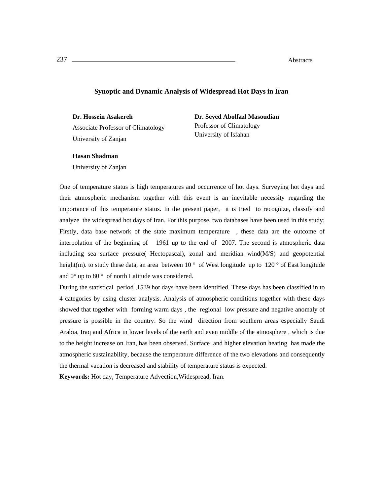## **Synoptic and Dynamic Analysis of Widespread Hot Days in Iran**

**Dr. Hossein Asakereh** 

Associate Professor of Climatology University of Zanjan

**Dr. Seyed Abolfazl Masoudian**  Professor of Climatology University of Isfahan

### **Hasan Shadman**

University of Zanjan

One of temperature status is high temperatures and occurrence of hot days. Surveying hot days and their atmospheric mechanism together with this event is an inevitable necessity regarding the importance of this temperature status. In the present paper, it is tried to recognize, classify and analyze the widespread hot days of Iran. For this purpose, two databases have been used in this study; Firstly, data base network of the state maximum temperature , these data are the outcome of interpolation of the beginning of 1961 up to the end of 2007. The second is atmospheric data including sea surface pressure( Hectopascal), zonal and meridian wind $(M/S)$  and geopotential height(m). to study these data, an area between 10 ° of West longitude up to 120 ° of East longitude and 0° up to 80 ° of north Latitude was considered.

During the statistical period ,1539 hot days have been identified. These days has been classified in to 4 categories by using cluster analysis. Analysis of atmospheric conditions together with these days showed that together with forming warm days , the regional low pressure and negative anomaly of pressure is possible in the country. So the wind direction from southern areas especially Saudi Arabia, Iraq and Africa in lower levels of the earth and even middle of the atmosphere , which is due to the height increase on Iran, has been observed. Surface and higher elevation heating has made the atmospheric sustainability, because the temperature difference of the two elevations and consequently the thermal vacation is decreased and stability of temperature status is expected.

**Keywords:** Hot day, Temperature Advection,Widespread, Iran.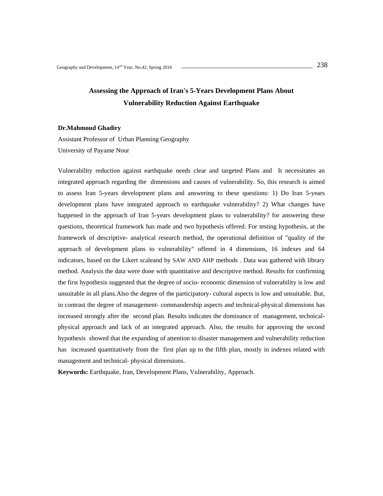## **Assessing the Approach of Iran's 5-Years Development Plans About Vulnerability Reduction Against Earthquake**

#### **Dr.Mahmoud Ghadiry**

Assistant Professor of Urban Planning Geography University of Payame Nour

Vulnerability reduction against earthquake needs clear and targeted Plans and It necessitates an integrated approach regarding the dimensions and causes of vulnerability. So, this research is aimed to assess Iran 5-years development plans and answering to these questions: 1) Do Iran 5-years development plans have integrated approach to earthquake vulnerability? 2) What changes have happened in the approach of Iran 5-years development plans to vulnerability? for answering these questions, theoretical framework has made and two hypothesis offered. For testing hypothesis, at the framework of descriptive- analytical research method, the operational definition of "quality of the approach of development plans to vulnerability" offered in 4 dimensions, 16 indexes and 64 indicators, based on the Likert scaleand by SAW AND AHP methods . Data was gathered with library method. Analysis the data were done with quantitative and descriptive method. Results for confirming the first hypothesis suggested that the degree of socio- economic dimension of vulnerability is low and unsuitable in all plans.Also the degree of the participatory- cultural aspects is low and unsuitable. But, in contrast the degree of management- commandership aspects and technical-physical dimensions has increased strongly after the second plan. Results indicates the dominance of management, technicalphysical approach and lack of an integrated approach. Also, the results for approving the second hypothesis showed that the expanding of attention to disaster management and vulnerability reduction has increased quantitatively from the first plan up to the fifth plan, mostly in indexes related with management and technical- physical dimensions.

**Keywords:** Earthquake, Iran, Development Plans, Vulnerability, Approach.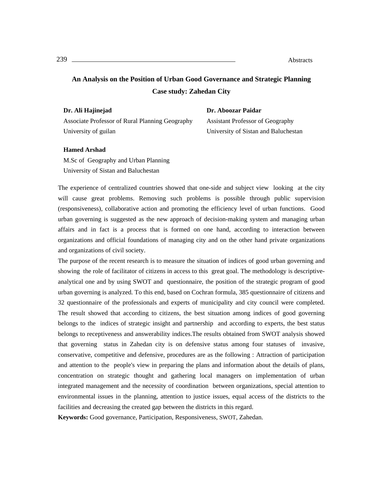# **An Analysis on the Position of Urban Good Governance and Strategic Planning Case study: Zahedan City**

| Associate Professor of Rural Planning Geography |  |
|-------------------------------------------------|--|
| University of guilan                            |  |

Assistant Professor of Geography University of Sistan and Baluchestan

**Dr. Aboozar Paidar** 

## **Hamed Arshad**

**Dr. Ali Hajinejad** 

M.Sc of Geography and Urban Planning University of Sistan and Baluchestan

The experience of centralized countries showed that one-side and subject view looking at the city will cause great problems. Removing such problems is possible through public supervision (responsiveness), collaborative action and promoting the efficiency level of urban functions. Good urban governing is suggested as the new approach of decision-making system and managing urban affairs and in fact is a process that is formed on one hand, according to interaction between organizations and official foundations of managing city and on the other hand private organizations and organizations of civil society.

The purpose of the recent research is to measure the situation of indices of good urban governing and showing the role of facilitator of citizens in access to this great goal. The methodology is descriptiveanalytical one and by using SWOT and questionnaire, the position of the strategic program of good urban governing is analyzed. To this end, based on Cochran formula, 385 questionnaire of citizens and 32 questionnaire of the professionals and experts of municipality and city council were completed. The result showed that according to citizens, the best situation among indices of good governing belongs to the indices of strategic insight and partnership and according to experts, the best status belongs to receptiveness and answerability indices.The results obtained from SWOT analysis showed that governing status in Zahedan city is on defensive status among four statuses of invasive, conservative, competitive and defensive, procedures are as the following : Attraction of participation and attention to the people's view in preparing the plans and information about the details of plans, concentration on strategic thought and gathering local managers on implementation of urban integrated management and the necessity of coordination between organizations, special attention to environmental issues in the planning, attention to justice issues, equal access of the districts to the facilities and decreasing the created gap between the districts in this regard.

**Keywords:** Good governance, Participation, Responsiveness, SWOT, Zahedan.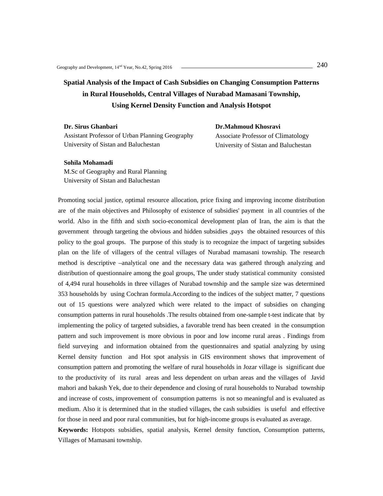# **Spatial Analysis of the Impact of Cash Subsidies on Changing Consumption Patterns in Rural Households, Central Villages of Nurabad Mamasani Township, Using Kernel Density Function and Analysis Hotspot**

**Dr. Sirus Ghanbari**  Assistant Professor of Urban Planning Geography University of Sistan and Baluchestan

**Dr.Mahmoud Khosravi**  Associate Professor of Climatology University of Sistan and Baluchestan

#### **Sohila Mohamadi**

M.Sc of Geography and Rural Planning University of Sistan and Baluchestan

Promoting social justice, optimal resource allocation, price fixing and improving income distribution are of the main objectives and Philosophy of existence of subsidies' payment in all countries of the world. Also in the fifth and sixth socio-economical development plan of Iran, the aim is that the government through targeting the obvious and hidden subsidies ,pays the obtained resources of this policy to the goal groups. The purpose of this study is to recognize the impact of targeting subsides plan on the life of villagers of the central villages of Nurabad mamasani township. The research method is descriptive –analytical one and the necessary data was gathered through analyzing and distribution of questionnaire among the goal groups, The under study statistical community consisted of 4,494 rural households in three villages of Nurabad township and the sample size was determined 353 households by using Cochran formula.According to the indices of the subject matter, 7 questions out of 15 questions were analyzed which were related to the impact of subsidies on changing consumption patterns in rural households .The results obtained from one-sample t-test indicate that by implementing the policy of targeted subsidies, a favorable trend has been created in the consumption pattern and such improvement is more obvious in poor and low income rural areas . Findings from field surveying and information obtained from the questionnaires and spatial analyzing by using Kernel density function and Hot spot analysis in GIS environment shows that improvement of consumption pattern and promoting the welfare of rural households in Jozar village is significant due to the productivity of its rural areas and less dependent on urban areas and the villages of Javid mahori and bakash Yek, due to their dependence and closing of rural households to Nurabad township and increase of costs, improvement of consumption patterns is not so meaningful and is evaluated as medium. Also it is determined that in the studied villages, the cash subsidies is useful and effective for those in need and poor rural communities, but for high-income groups is evaluated as average.

**Keywords:** Hotspots subsidies, spatial analysis, Kernel density function, Consumption patterns, Villages of Mamasani township.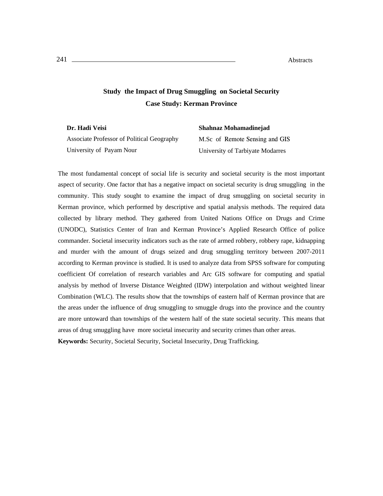## **Study the Impact of Drug Smuggling on Societal Security Case Study: Kerman Province**

**Dr. Hadi Veisi**  Associate Professor of Political Geography University of Payam Nour **Shahnaz Mohamadinejad**  M.Sc of Remote Sensing and GIS University of Tarbiyate Modarres

The most fundamental concept of social life is security and societal security is the most important aspect of security. One factor that has a negative impact on societal security is drug smuggling in the community. This study sought to examine the impact of drug smuggling on societal security in Kerman province, which performed by descriptive and spatial analysis methods. The required data collected by library method. They gathered from United Nations Office on Drugs and Crime (UNODC), Statistics Center of Iran and Kerman Province's Applied Research Office of police commander. Societal insecurity indicators such as the rate of armed robbery, robbery rape, kidnapping and murder with the amount of drugs seized and drug smuggling territory between 2007-2011 according to Kerman province is studied. It is used to analyze data from SPSS software for computing coefficient Of correlation of research variables and Arc GIS software for computing and spatial analysis by method of Inverse Distance Weighted (IDW) interpolation and without weighted linear Combination (WLC). The results show that the townships of eastern half of Kerman province that are the areas under the influence of drug smuggling to smuggle drugs into the province and the country are more untoward than townships of the western half of the state societal security. This means that areas of drug smuggling have more societal insecurity and security crimes than other areas. **Keywords:** Security, Societal Security, Societal Insecurity, Drug Trafficking.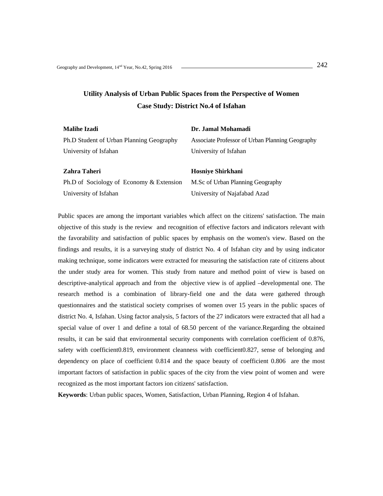# **Utility Analysis of Urban Public Spaces from the Perspective of Women Case Study: District No.4 of Isfahan**

| <b>Malihe Izadi</b>                      | Dr. Jamal Mohamadi                              |
|------------------------------------------|-------------------------------------------------|
| Ph.D Student of Urban Planning Geography | Associate Professor of Urban Planning Geography |
| University of Isfahan                    | University of Isfahan                           |
|                                          |                                                 |
| Zahra Taheri                             | <b>Hosniye Shirkhani</b>                        |
| Ph.D of Sociology of Economy & Extension | M.Sc of Urban Planning Geography                |
| University of Isfahan                    | University of Najafabad Azad                    |

Public spaces are among the important variables which affect on the citizens' satisfaction. The main objective of this study is the review and recognition of effective factors and indicators relevant with the favorability and satisfaction of public spaces by emphasis on the women's view. Based on the findings and results, it is a surveying study of district No. 4 of Isfahan city and by using indicator making technique, some indicators were extracted for measuring the satisfaction rate of citizens about the under study area for women. This study from nature and method point of view is based on descriptive-analytical approach and from the objective view is of applied –developmental one. The research method is a combination of library-field one and the data were gathered through questionnaires and the statistical society comprises of women over 15 years in the public spaces of district No. 4, Isfahan. Using factor analysis, 5 factors of the 27 indicators were extracted that all had a special value of over 1 and define a total of 68.50 percent of the variance.Regarding the obtained results, it can be said that environmental security components with correlation coefficient of 0.876, safety with coefficient0.819, environment cleanness with coefficient0.827, sense of belonging and dependency on place of coefficient 0.814 and the space beauty of coefficient 0.806 are the most important factors of satisfaction in public spaces of the city from the view point of women and were recognized as the most important factors ion citizens' satisfaction.

**Keywords**: Urban public spaces, Women, Satisfaction, Urban Planning, Region 4 of Isfahan.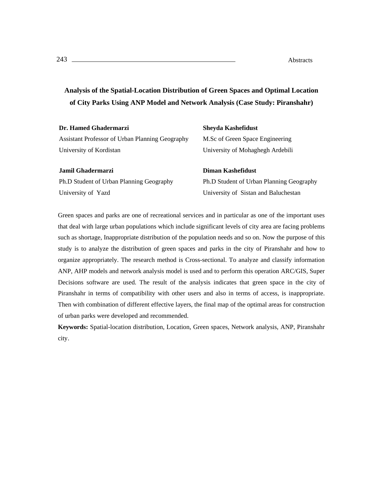# **Analysis of the Spatial-Location Distribution of Green Spaces and Optimal Location of City Parks Using ANP Model and Network Analysis (Case Study: Piranshahr)**

| Dr. Hamed Ghadermarzi                           | <b>Sheyda Kashefidust</b>                |
|-------------------------------------------------|------------------------------------------|
| Assistant Professor of Urban Planning Geography | M.Sc of Green Space Engineering          |
| University of Kordistan                         | University of Mohaghegh Ardebili         |
| Jamil Ghadermarzi                               | Diman Kashefidust                        |
| Ph.D Student of Urban Planning Geography        | Ph.D Student of Urban Planning Geography |
| University of Yazd                              | University of Sistan and Baluchestan     |

Green spaces and parks are one of recreational services and in particular as one of the important uses that deal with large urban populations which include significant levels of city area are facing problems such as shortage, Inappropriate distribution of the population needs and so on. Now the purpose of this study is to analyze the distribution of green spaces and parks in the city of Piranshahr and how to organize appropriately. The research method is Cross-sectional. To analyze and classify information ANP, AHP models and network analysis model is used and to perform this operation ARC/GIS, Super Decisions software are used. The result of the analysis indicates that green space in the city of Piranshahr in terms of compatibility with other users and also in terms of access, is inappropriate. Then with combination of different effective layers, the final map of the optimal areas for construction of urban parks were developed and recommended.

**Keywords:** Spatial-location distribution, Location, Green spaces, Network analysis, ANP, Piranshahr city.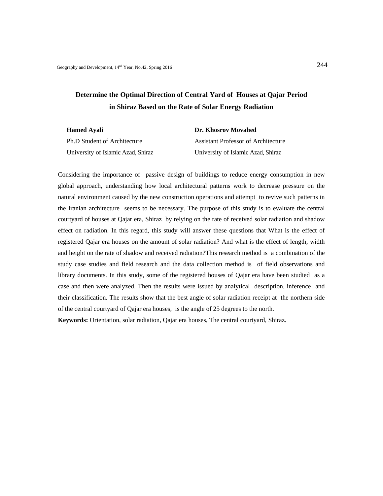# **Determine the Optimal Direction of Central Yard of Houses at Qajar Period in Shiraz Based on the Rate of Solar Energy Radiation**

| <b>Hamed Avali</b>                  | Dr. Khosrov Movahed                 |
|-------------------------------------|-------------------------------------|
| <b>Ph.D Student of Architecture</b> | Assistant Professor of Architecture |
| University of Islamic Azad, Shiraz  | University of Islamic Azad, Shiraz  |

Considering the importance of passive design of buildings to reduce energy consumption in new global approach, understanding how local architectural patterns work to decrease pressure on the natural environment caused by the new construction operations and attempt to revive such patterns in the Iranian architecture seems to be necessary. The purpose of this study is to evaluate the central courtyard of houses at Qajar era, Shiraz by relying on the rate of received solar radiation and shadow effect on radiation. In this regard, this study will answer these questions that What is the effect of registered Qajar era houses on the amount of solar radiation? And what is the effect of length, width and height on the rate of shadow and received radiation?This research method is a combination of the study case studies and field research and the data collection method is of field observations and library documents. In this study, some of the registered houses of Qajar era have been studied as a case and then were analyzed. Then the results were issued by analytical description, inference and their classification. The results show that the best angle of solar radiation receipt at the northern side of the central courtyard of Qajar era houses, is the angle of 25 degrees to the north.

**Keywords:** Orientation, solar radiation, Qajar era houses, The central courtyard, Shiraz.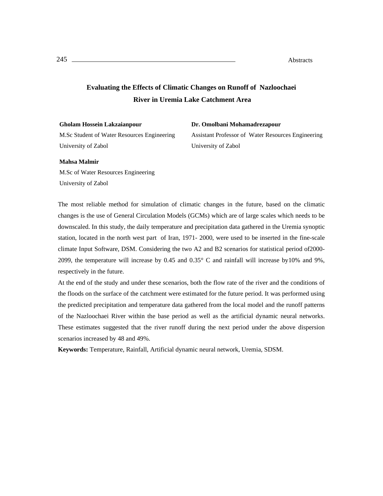## **Evaluating the Effects of Climatic Changes on Runoff of Nazloochaei River in Uremia Lake Catchment Area**

#### **Gholam Hossein Lakzaianpour**

M.Sc Student of Water Resources Engineering University of Zabol

**Dr. Omolbani Mohamadrezapour**  Assistant Professor of Water Resources Engineering University of Zabol

### **Mahsa Malmir**

M.Sc of Water Resources Engineering University of Zabol

The most reliable method for simulation of climatic changes in the future, based on the climatic changes is the use of General Circulation Models (GCMs) which are of large scales which needs to be downscaled. In this study, the daily temperature and precipitation data gathered in the Uremia synoptic station, located in the north west part of Iran, 1971- 2000, were used to be inserted in the fine-scale climate Input Software, DSM. Considering the two A2 and B2 scenarios for statistical period of2000- 2099, the temperature will increase by 0.45 and 0.35° C and rainfall will increase by10% and 9%, respectively in the future.

At the end of the study and under these scenarios, both the flow rate of the river and the conditions of the floods on the surface of the catchment were estimated for the future period. It was performed using the predicted precipitation and temperature data gathered from the local model and the runoff patterns of the Nazloochaei River within the base period as well as the artificial dynamic neural networks. These estimates suggested that the river runoff during the next period under the above dispersion scenarios increased by 48 and 49%.

**Keywords:** Temperature, Rainfall, Artificial dynamic neural network, Uremia, SDSM.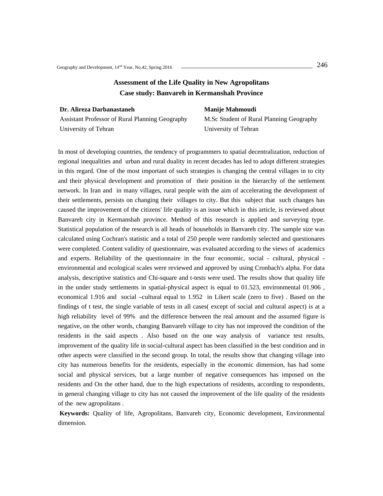## **Assessment of the Life Quality in New Agropolitans Case study: Banvareh in Kermanshah Province**

### **Dr. Alireza Darbanastaneh**

Assistant Professor of Rural Planning Geography University of Tehran

## **Manije Mahmoudi**

M.Sc Student of Rural Planning Geography University of Tehran

In most of developing countries, the tendency of programmers to spatial decentralization, reduction of regional inequalities and urban and rural duality in recent decades has led to adopt different strategies in this regard. One of the most important of such strategies is changing the central villages in to city and their physical development and promotion of their position in the hierarchy of the settlement network. In Iran and in many villages, rural people with the aim of accelerating the development of their settlements, persists on changing their villages to city. But this subject that such changes has caused the improvement of the citizens' life quality is an issue which in this article, is reviewed about Banvareh city in Kermanshah province. Method of this research is applied and surveying type. Statistical population of the research is all heads of households in Banvareh city. The sample size was calculated using Cochran's statistic and a total of 250 people were randomly selected and questionares were completed. Content validity of questionnaire, was evaluated according to the views of academics and experts. Reliability of the questionnaire in the four economic, social - cultural, physical environmental and ecological scales were reviewed and approved by using Cronbach's alpha. For data analysis, descriptive statistics and Chi-square and t-tests were used. The results show that quality life in the under study settlements in spatial-physical aspect is equal to 01.523, environmental 01.906 , economical 1.916 and social –cultural equal to 1.952 in Likert scale (zero to five) . Based on the findings of t test, the single variable of tests in all cases( except of social and cultural aspect) is at a high reliability level of 99% and the difference between the real amount and the assumed figure is negative, on the other words, changing Banvareh village to city has not improved the condition of the residents in the said aspects . Also based on the one way analysis of variance test results, improvement of the quality life in social-cultural aspect has been classified in the best condition and in other aspects were classified in the second group. In total, the results show that changing village into city has numerous benefits for the residents, especially in the economic dimension, has had some social and physical services, but a large number of negative consequences has imposed on the residents and On the other hand, due to the high expectations of residents, according to respondents, in general changing village to city has not caused the improvement of the life quality of the residents of the new agropolitans .

 **Keywords:** Quality of life, Agropolitans, Banvareh city, Economic development, Environmental dimension.